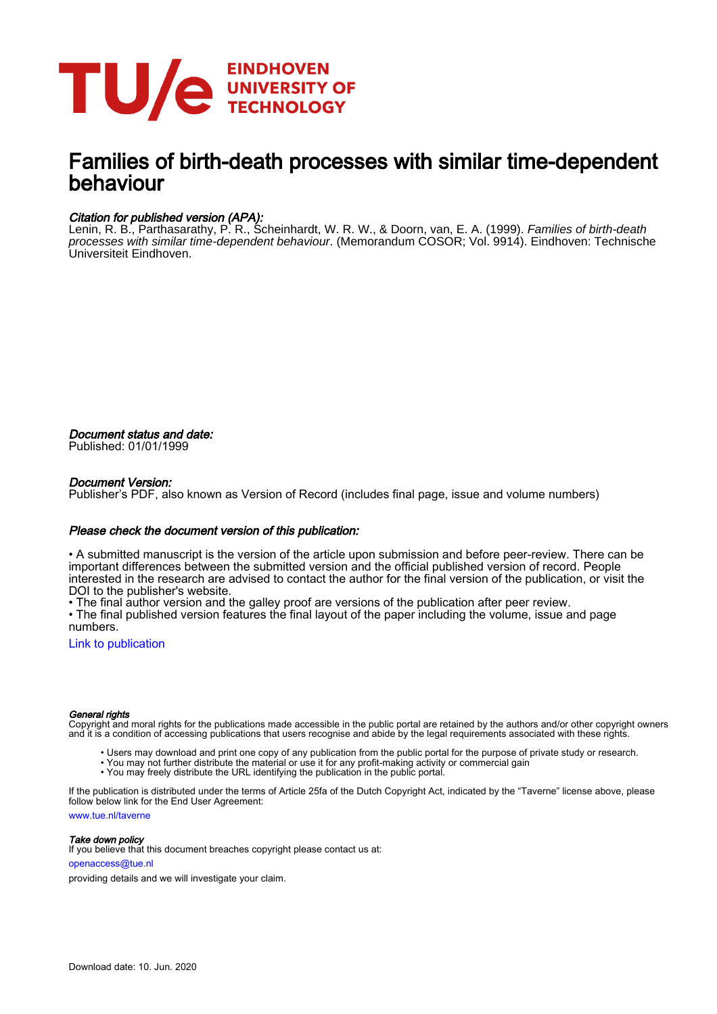

## Families of birth-death processes with similar time-dependent behaviour

#### Citation for published version (APA):

Lenin, R. B., Parthasarathy, P. R., Scheinhardt, W. R. W., & Doorn, van, E. A. (1999). *Families of birth-death* processes with similar time-dependent behaviour. (Memorandum COSOR; Vol. 9914). Eindhoven: Technische Universiteit Eindhoven.

Document status and date: Published: 01/01/1999

#### Document Version:

Publisher's PDF, also known as Version of Record (includes final page, issue and volume numbers)

#### Please check the document version of this publication:

• A submitted manuscript is the version of the article upon submission and before peer-review. There can be important differences between the submitted version and the official published version of record. People interested in the research are advised to contact the author for the final version of the publication, or visit the DOI to the publisher's website.

• The final author version and the galley proof are versions of the publication after peer review.

• The final published version features the final layout of the paper including the volume, issue and page numbers.

[Link to publication](https://research.tue.nl/en/publications/families-of-birthdeath-processes-with-similar-timedependent-behaviour(db6210be-9401-4af4-b56c-797e7cd2eccd).html)

#### General rights

Copyright and moral rights for the publications made accessible in the public portal are retained by the authors and/or other copyright owners and it is a condition of accessing publications that users recognise and abide by the legal requirements associated with these rights.

- Users may download and print one copy of any publication from the public portal for the purpose of private study or research.
- You may not further distribute the material or use it for any profit-making activity or commercial gain
- You may freely distribute the URL identifying the publication in the public portal.

If the publication is distributed under the terms of Article 25fa of the Dutch Copyright Act, indicated by the "Taverne" license above, please follow below link for the End User Agreement:

www.tue.nl/taverne

**Take down policy**<br>If you believe that this document breaches copyright please contact us at:

openaccess@tue.nl

providing details and we will investigate your claim.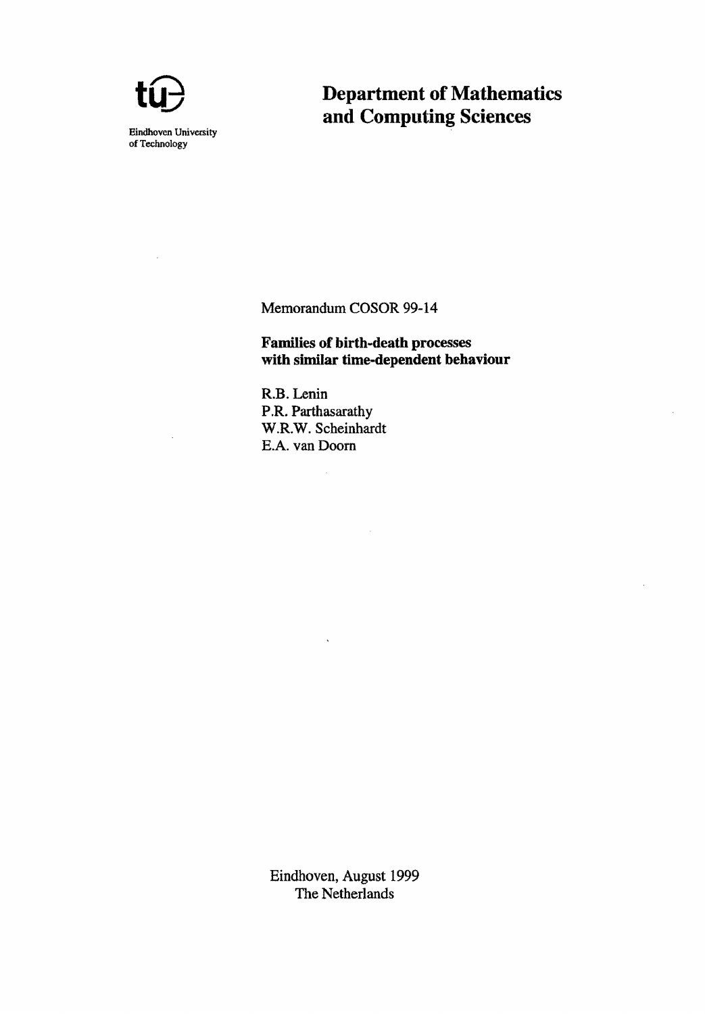

## **Department of Mathematics and Computing Sciences**

Memorandum COSOR 99-14

**Families of birth-death processes with similar time-dependent behaviour** 

 $\bar{z}$ 

R.B. Lenin P.R. Parthasarathy W.R.W. Scheinhardt E.A. van Doom

ù.

Eindhoven, August 1999 The Netherlands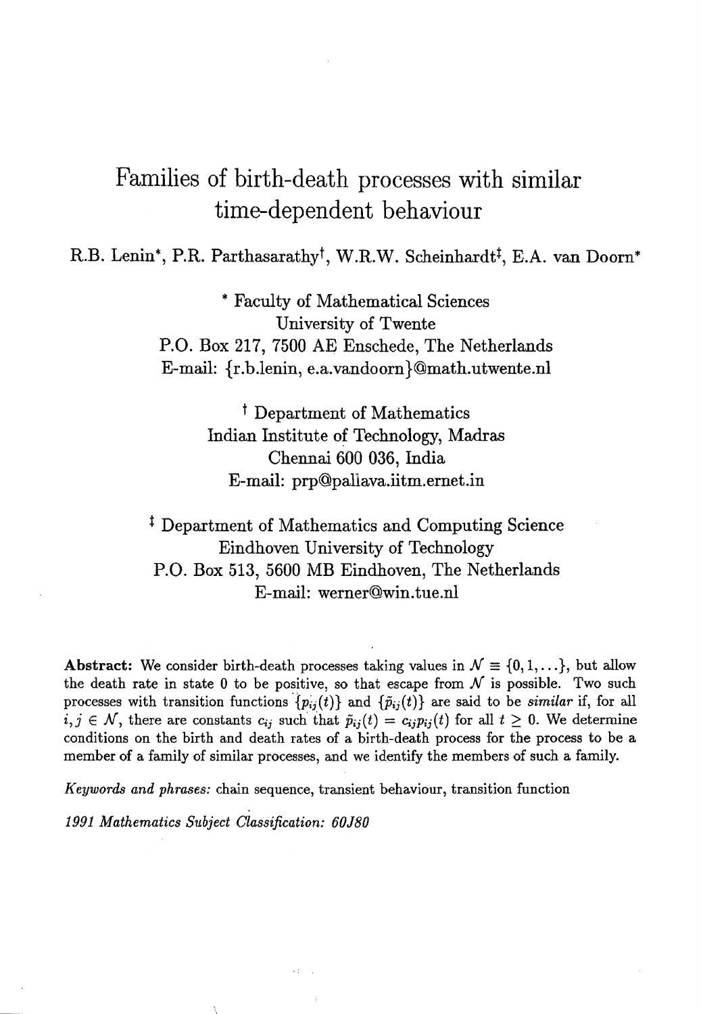# Families of birth-death processes with similar time-dependent behaviour

R.B. Lenin\*, P.R. Parthasarathy<sup>†</sup>, W.R.W. Scheinhardt<sup>‡</sup>, E.A. van Doorn\*

\* Faculty of Mathematical Sciences University of Twente P.O. Box 217, 7500 AE Enschede, The Netherlands E-mail: {r.b.lenin.e.a.vandoorn}@math.utwente.nl

> t Department of Mathematics Indian Institute of Technology, Madras Chennai 600 036, India E-mail: prp@paUava.iitm.ernet.in

<sup>‡</sup> Department of Mathematics and Computing Science Eindhoven University of Technology P.O. Box 513, 5600 MB Eindhoven, The Netherlands E-mail: werner@win.tue.nl

Abstract: We consider birth-death processes taking values in  $\mathcal{N} \equiv \{0, 1, \ldots\}$ , but allow the death rate in state 0 to be positive, so that escape from  $N$  is possible. Two such processes with transition functions  $\{p_{ij}(t)\}\$  and  $\{\tilde{p}_{ij}(t)\}\$  are said to be *similar* if, for all  $i, j \in \mathcal{N}$ , there are constants  $c_{ij}$  such that  $\tilde{p}_{ij}(t) = c_{ij}p_{ij}(t)$  for all  $t \geq 0$ . We determine conditions on the birth and death rates of a birth-death process for the process to be a member of a family of similar processes, and we identify the members of such a family.

*Keywords and phrases:* chain sequence, transient behaviour, transition function

*1991 Mathematics Subject Classification: 60J80*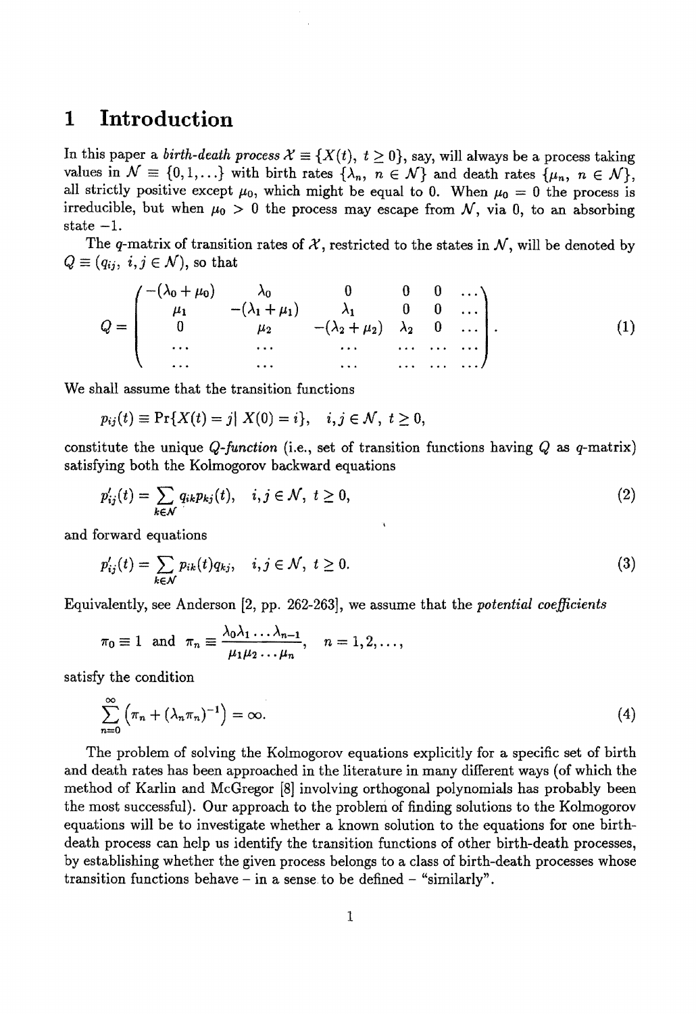## **1 Introduction**

In this paper a *birth-death process*  $\mathcal{X} \equiv \{X(t), t \geq 0\}$ , say, will always be a process taking values in  $\mathcal{N} \equiv \{0, 1, ...\}$  with birth rates  $\{\lambda_n, n \in \mathcal{N}\}\$  and death rates  $\{\mu_n, n \in \mathcal{N}\}\$ , all strictly positive except  $\mu_0$ , which might be equal to 0. When  $\mu_0 = 0$  the process is irreducible, but when  $\mu_0 > 0$  the process may escape from N, via 0, to an absorbing state  $-1$ .

The q-matrix of transition rates of  $\mathcal{X}$ , restricted to the states in  $\mathcal{N}$ , will be denoted by  $Q \equiv (q_{ij}, i, j \in \mathcal{N})$ , so that

$$
Q = \begin{pmatrix} -(\lambda_0 + \mu_0) & \lambda_0 & 0 & 0 & 0 & \dots \\ \mu_1 & -(\lambda_1 + \mu_1) & \lambda_1 & 0 & 0 & \dots \\ 0 & \mu_2 & -(\lambda_2 + \mu_2) & \lambda_2 & 0 & \dots \\ \dots & \dots & \dots & \dots & \dots & \dots \\ \dots & \dots & \dots & \dots & \dots & \dots \end{pmatrix} . \tag{1}
$$

We shall assume that the transition functions

$$
p_{ij}(t) \equiv \Pr\{X(t) = j | X(0) = i\}, \quad i, j \in \mathcal{N}, \ t \ge 0,
$$

constitute the unique *Q-function* (i.e., set of transition functions having *Q* as q-matrix) satisfying both the Kolmogorov backward equations

$$
p'_{ij}(t) = \sum_{k \in \mathcal{N}} q_{ik} p_{kj}(t), \quad i, j \in \mathcal{N}, \ t \ge 0,
$$
\n
$$
(2)
$$

and forward equations

$$
p'_{ij}(t) = \sum_{k \in \mathcal{N}} p_{ik}(t) q_{kj}, \quad i, j \in \mathcal{N}, \ t \ge 0.
$$
 (3)

Equivalently, see Anderson [2, pp. 262-263], we assume that the *potential coefficients* 

$$
\pi_0 \equiv 1
$$
 and  $\pi_n \equiv \frac{\lambda_0 \lambda_1 \ldots \lambda_{n-1}}{\mu_1 \mu_2 \ldots \mu_n}$ ,  $n = 1, 2, \ldots$ ,

satisfy the condition

$$
\sum_{n=0}^{\infty} \left( \pi_n + (\lambda_n \pi_n)^{-1} \right) = \infty.
$$
 (4)

The problem of solving the Kolmogorov equations explicitly for a specific set of birth and death rates has been approached in the literature in many different ways (of which the method of Karlin and McGregor [8] involving orthogonal polynomials has probably been the most successful). Our approach to the problem of finding solutions to the Kolmogorov equations will be to investigate whether a known solution to the equations for one birthdeath process can help us identify the transition functions of other birth-death processes, by establishing whether the given process belongs to a class of birth-death processes whose transition functions behave  $-$  in a sense to be defined  $-$  "similarly".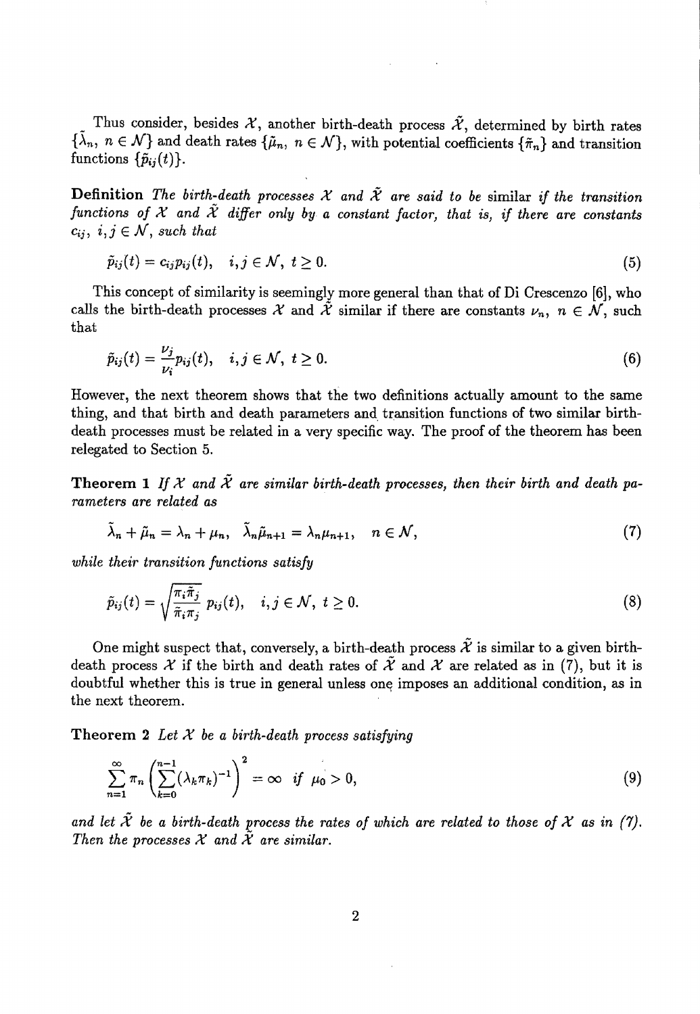Thus consider, besides  $X$ , another birth-death process  $\tilde{X}$ , determined by birth rates  $\{\tilde{\lambda}_n, n \in \mathcal{N}\}\$  and death rates  $\{\tilde{\mu}_n, n \in \mathcal{N}\}\$ , with potential coefficients  $\{\tilde{\pi}_n\}$  and transition functions  $\{\tilde{p}_{ij}(t)\}.$ 

Definition *The birth-death processes*  $X$  and  $\tilde{X}$  are said to be similar if the transition functions of  $X$  and  $\tilde{X}$  differ only by a constant factor, that is, if there are constants  $c_{ij}, i,j \in \mathcal{N}$ , such that

$$
\tilde{p}_{ij}(t) = c_{ij}p_{ij}(t), \quad i, j \in \mathcal{N}, \ t \geq 0. \tag{5}
$$

This concept of similarity is seemingly more general than that of Di Crescenzo [6], who calls the birth-death processes  $\mathcal X$  and  $\tilde{\mathcal X}$  similar if there are constants  $\nu_n$ ,  $n \in \mathcal N$ , such that

$$
\tilde{p}_{ij}(t) = \frac{\nu_j}{\nu_i} p_{ij}(t), \quad i, j \in \mathcal{N}, \ t \ge 0.
$$
\n
$$
(6)
$$

However, the next theorem shows that the two definitions actually amount to the same thing, and that birth and death parameters and transition functions of two similar birthdeath processes must be related in a very specific way. The proof of the theorem has been relegated to Section 5.

**Theorem 1** If X and  $\tilde{\mathcal{X}}$  are similar birth-death processes, then their birth and death pa*rameters are related as* 

$$
\tilde{\lambda}_n + \tilde{\mu}_n = \lambda_n + \mu_n, \quad \tilde{\lambda}_n \tilde{\mu}_{n+1} = \lambda_n \mu_{n+1}, \quad n \in \mathcal{N}, \tag{7}
$$

*while their transition functions satisfy* 

$$
\tilde{p}_{ij}(t) = \sqrt{\frac{\pi_i \tilde{\pi}_j}{\tilde{\pi}_i \pi_j}} \ p_{ij}(t), \quad i, j \in \mathcal{N}, \ t \geq 0.
$$
\n
$$
(8)
$$

One might suspect that, conversely, a birth-death process  $\tilde{\mathcal{X}}$  is similar to a given birthdeath process X if the birth and death rates of  $\tilde{\mathcal{X}}$  and X are related as in (7), but it is doubtful whether this is true in general unless one imposes an additional condition, as in the next theorem.

Theorem 2 *Let X be a birth-death process satisfying* 

$$
\sum_{n=1}^{\infty} \pi_n \left( \sum_{k=0}^{n-1} (\lambda_k \pi_k)^{-1} \right)^2 = \infty \quad \text{if} \quad \mu_0 > 0,
$$
\n(9)

and let  $\tilde{\mathcal{X}}$  be a birth-death process the rates of which are related to those of  $\mathcal X$  as in (7). Then the processes  $X$  and  $\tilde{X}$  are similar.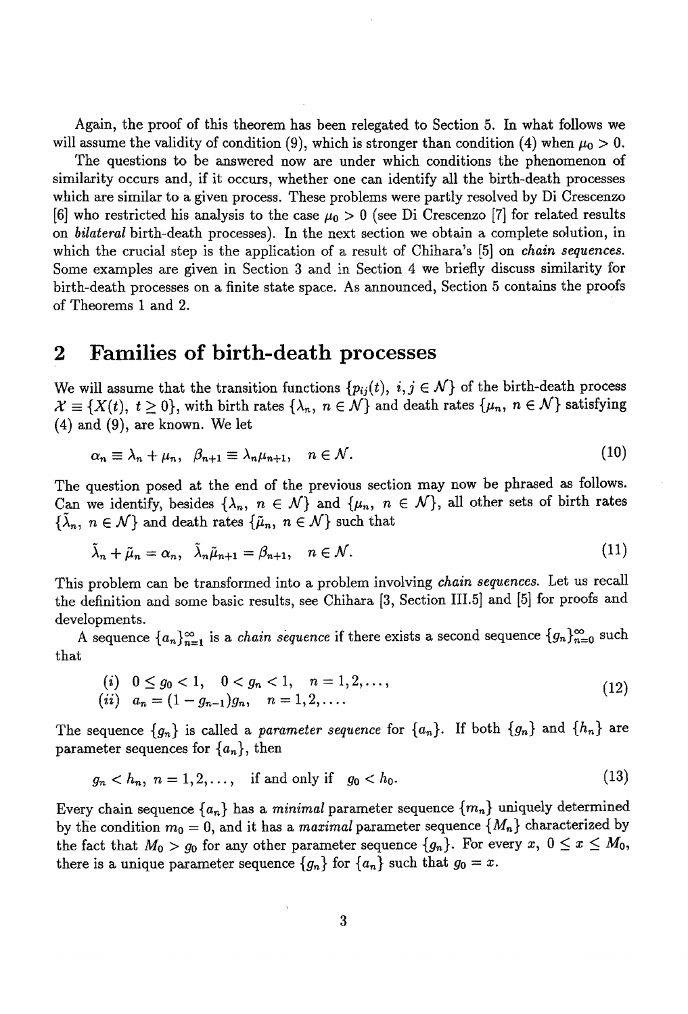Again, the proof of this theorem has been relegated to Section 5. In what follows we will assume the validity of condition (9), which is stronger than condition (4) when  $\mu_0 > 0$ .

The questions to be answered now are under which conditions the phenomenon of similarity occurs and, if it occurs, whether one can identify all the birth-death processes which are similar to a given process. These problems were partly resolved by Di Crescenzo [6] who restricted his analysis to the case  $\mu_0 > 0$  (see Di Crescenzo [7] for related results on *bilateral* birth-death processes). In the next section we obtain a complete solution, in which the crucial step is the application of a result of Chihara's [5] on *chain sequences.*  Some examples are given in Section 3 and in Section 4 we briefly discuss similarity for birth-death processes on a finite state space. As announced, Section 5 contains the proofs of Theorems 1 and 2.

### **2 Families of hirth-death processes**

We will assume that the transition functions  $\{p_{ij}(t), i, j \in \mathcal{N}\}\)$  of the birth-death process  $\mathcal{X} \equiv \{X(t), t \geq 0\}$ , with birth rates  $\{\lambda_n, n \in \mathcal{N}\}\$  and death rates  $\{\mu_n, n \in \mathcal{N}\}\$  satisfying (4) and (9), are known. We let

$$
\alpha_n \equiv \lambda_n + \mu_n, \ \ \beta_{n+1} \equiv \lambda_n \mu_{n+1}, \quad n \in \mathcal{N}.
$$
 (10)

The question posed at the end of the previous section may now be phrased as follows. Can we identify, besides  $\{\lambda_n, n \in \mathcal{N}\}\$  and  $\{\mu_n, n \in \mathcal{N}\}\$ , all other sets of birth rates  ${\{\tilde{\lambda}_n, n \in \mathcal{N}\}}$  and death rates  ${\{\tilde{\mu}_n, n \in \mathcal{N}\}}$  such that

$$
\tilde{\lambda}_n + \tilde{\mu}_n = \alpha_n, \quad \tilde{\lambda}_n \tilde{\mu}_{n+1} = \beta_{n+1}, \quad n \in \mathcal{N}.
$$
\n
$$
(11)
$$

This problem can be transformed into a problem involving *chain sequences.* Let us recall the definition and some basic results, see Chihara [3, Section III.5] and [5] for proofs and developments.

A sequence  ${a_n}_{n=1}^{\infty}$  is a *chain sequence* if there exists a second sequence  ${g_n}_{n=0}^{\infty}$  such that

$$
\begin{array}{ll}\n(i) & 0 \leq g_0 < 1, \quad 0 < g_n < 1, \quad n = 1, 2, \dots, \\
(ii) & a_n = (1 - g_{n-1})g_n, \quad n = 1, 2, \dots\n\end{array}\n\tag{12}
$$

The sequence  ${g_n}$  is called a *parameter sequence* for  ${a_n}$ . If both  ${g_n}$  and  ${h_n}$  are parameter sequences for *{an},* then

$$
g_n < h_n, n = 1, 2, ...,
$$
 if and only if  $g_0 < h_0.$  (13)

Every chain sequence  $\{a_n\}$  has a *minimal* parameter sequence  $\{m_n\}$  uniquely determined by the condition  $m_0 = 0$ , and it has a *maximal* parameter sequence  ${M_n}$  characterized by the fact that  $M_0 > g_0$  for any other parameter sequence  $\{g_n\}$ . For every  $x, 0 \le x \le M_0$ , there is a unique parameter sequence  ${g_n}$  for  ${a_n}$  such that  $g_0 = x$ .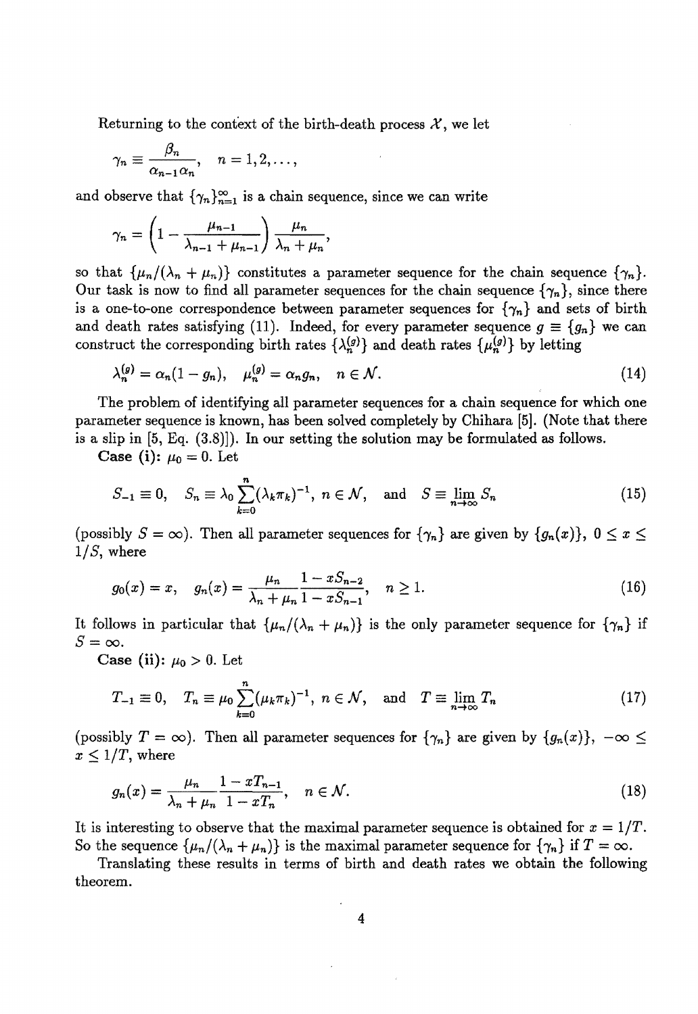Returning to the context of the birth-death process  $\mathcal{X}$ , we let

$$
\gamma_n \equiv \frac{\beta_n}{\alpha_{n-1}\alpha_n}, \quad n=1,2,\ldots,
$$

and observe that  $\{\gamma_n\}_{n=1}^{\infty}$  is a chain sequence, since we can write

$$
\gamma_n = \left(1 - \frac{\mu_{n-1}}{\lambda_{n-1} + \mu_{n-1}}\right) \frac{\mu_n}{\lambda_n + \mu_n},
$$

so that  $\{\mu_n/(\lambda_n + \mu_n)\}\)$  constitutes a parameter sequence for the chain sequence  $\{\gamma_n\}$ . Our task is now to find all parameter sequences for the chain sequence  $\{\gamma_n\}$ , since there is a one-to-one correspondence between parameter sequences for  $\{\gamma_n\}$  and sets of birth and death rates satisfying (11). Indeed, for every parameter sequence  $g \equiv \{g_n\}$  we can construct the corresponding birth rates  $\{\lambda_n^{(g)}\}$  and death rates  $\{\mu_n^{(g)}\}$  by letting

$$
\lambda_n^{(g)} = \alpha_n (1 - g_n), \quad \mu_n^{(g)} = \alpha_n g_n, \quad n \in \mathcal{N}.
$$
 (14)

The problem of identifying all parameter sequences for a chain sequence for which one parameter sequence is known, has been solved completely by Chihara [5]. (Note that there is a slip in [5, Eq. (3.8)]). In our setting the solution may be formulated as follows.

**Case (i):**  $\mu_0 = 0$ . Let

$$
S_{-1} \equiv 0, \quad S_n \equiv \lambda_0 \sum_{k=0}^n (\lambda_k \pi_k)^{-1}, \ n \in \mathcal{N}, \quad \text{and} \quad S \equiv \lim_{n \to \infty} S_n \tag{15}
$$

(possibly  $S = \infty$ ). Then all parameter sequences for  ${\gamma_n}$  are given by  ${g_n(x)}$ ,  $0 \le x \le$ *l/S,* where

$$
g_0(x) = x, \quad g_n(x) = \frac{\mu_n}{\lambda_n + \mu_n} \frac{1 - x S_{n-2}}{1 - x S_{n-1}}, \quad n \ge 1.
$$
 (16)

It follows in particular that  $\{\mu_n/(\lambda_n + \mu_n)\}\$ is the only parameter sequence for  $\{\gamma_n\}$  if  $S=\infty$ .

Case (ii):  $\mu_0 > 0$ . Let

$$
T_{-1} \equiv 0, \quad T_n \equiv \mu_0 \sum_{k=0}^n (\mu_k \pi_k)^{-1}, \ n \in \mathcal{N}, \quad \text{and} \quad T \equiv \lim_{n \to \infty} T_n \tag{17}
$$

(possibly  $T = \infty$ ). Then all parameter sequences for  $\{\gamma_n\}$  are given by  $\{g_n(x)\}, -\infty \leq$  $x \leq 1/T$ , where

$$
g_n(x) = \frac{\mu_n}{\lambda_n + \mu_n} \frac{1 - xT_{n-1}}{1 - xT_n}, \quad n \in \mathcal{N}.
$$
 (18)

It is interesting to observe that the maximal parameter sequence is obtained for  $x = 1/T$ . So the sequence  $\{\mu_n/(\lambda_n + \mu_n)\}\$ is the maximal parameter sequence for  $\{\gamma_n\}$  if  $T = \infty$ .

Translating these results in terms of birth and death rates we obtain the following theorem.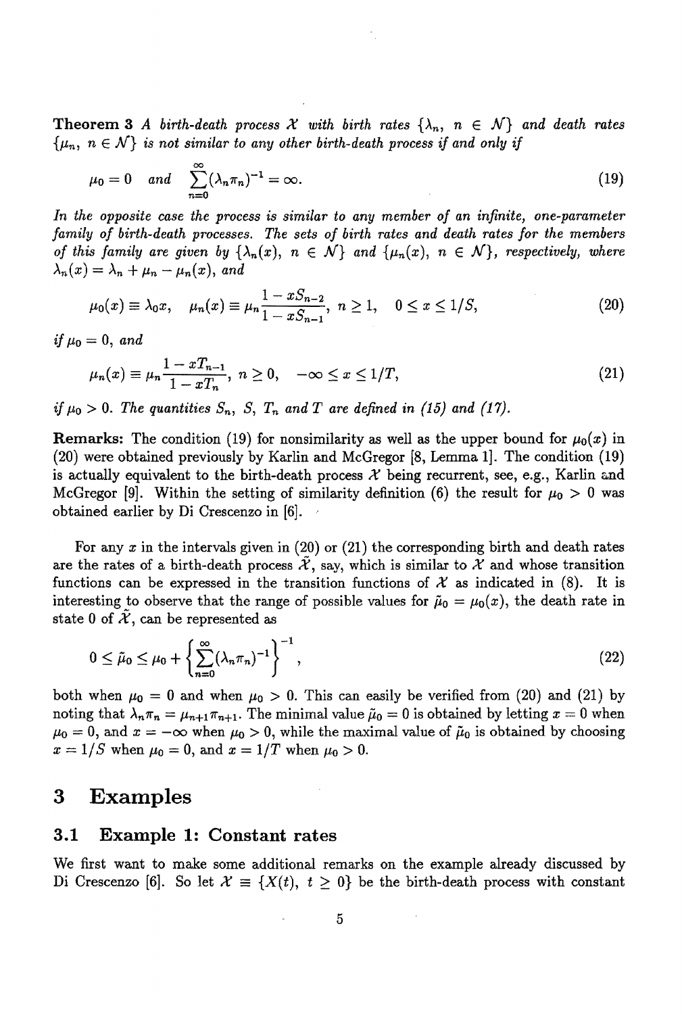Theorem 3 A birth-death process  $\mathcal X$  with birth rates  $\{\lambda_n, n \in \mathcal N\}$  and death rates  $\{\mu_n, n \in \mathcal{N}\}\$ is not similar to any other birth-death process if and only if

$$
\mu_0 = 0 \quad and \quad \sum_{n=0}^{\infty} (\lambda_n \pi_n)^{-1} = \infty. \tag{19}
$$

*In the opposite case the process is similar to any member of an infinite, one-parameter family of birth-death processes. The sets of birth rates and death rates for the members of this family are given by*  $\{\lambda_n(x), n \in \mathcal{N}\}\$  and  $\{\mu_n(x), n \in \mathcal{N}\}\$ , respectively, where  $\lambda_n(x) = \lambda_n + \mu_n - \mu_n(x)$ , and

$$
\mu_0(x) \equiv \lambda_0 x, \quad \mu_n(x) \equiv \mu_n \frac{1 - x S_{n-2}}{1 - x S_{n-1}}, \quad n \ge 1, \quad 0 \le x \le 1/S,
$$
\n(20)

*if*  $\mu_0 = 0$ , *and* 

$$
\mu_n(x) \equiv \mu_n \frac{1 - xT_{n-1}}{1 - xT_n}, \ n \ge 0, \quad -\infty \le x \le 1/T,
$$
\n(21)

*if*  $\mu_0 > 0$ . The quantities  $S_n$ ,  $S$ ,  $T_n$  and  $T$  are defined in (15) and (17).

**Remarks:** The condition (19) for nonsimilarity as well as the upper bound for  $\mu_0(x)$  in (20) were obtained previously by Karlin and McGregor [8, Lemma 1]. The condition (19) is actually equivalent to the birth-death process  $\mathcal X$  being recurrent, see, e.g., Karlin and McGregor [9]. Within the setting of similarity definition (6) the result for  $\mu_0 > 0$  was obtained earlier by Di Crescenzo in [6].,

For any *x* in the intervals given in (20) or (21) the corresponding birth and death rates are the rates of a birth-death process  $\tilde{\mathcal{X}}$ , say, which is similar to  $\mathcal{X}$  and whose transition functions can be expressed in the transition functions of  $\mathcal X$  as indicated in (8). It is interesting to observe that the range of possible values for  $\tilde{\mu}_0 = \mu_0(x)$ , the death rate in state 0 of  $\tilde{\mathcal{X}}$ , can be represented as

$$
0 \le \tilde{\mu}_0 \le \mu_0 + \left\{ \sum_{n=0}^{\infty} (\lambda_n \pi_n)^{-1} \right\}^{-1},\tag{22}
$$

both when  $\mu_0 = 0$  and when  $\mu_0 > 0$ . This can easily be verified from (20) and (21) by noting that  $\lambda_n \pi_n = \mu_{n+1} \pi_{n+1}$ . The minimal value  $\tilde{\mu}_0 = 0$  is obtained by letting  $x = 0$  when  $\mu_0 = 0$ , and  $x = -\infty$  when  $\mu_0 > 0$ , while the maximal value of  $\tilde{\mu}_0$  is obtained by choosing  $x = 1/S$  when  $\mu_0 = 0$ , and  $x = 1/T$  when  $\mu_0 > 0$ .

## **3 Examples**

#### **3.1 Example 1: Constant rates**

We first want to make some additional remarks on the example already discussed by Di Crescenzo [6]. So let  $\mathcal{X} \equiv \{X(t), t \geq 0\}$  be the birth-death process with constant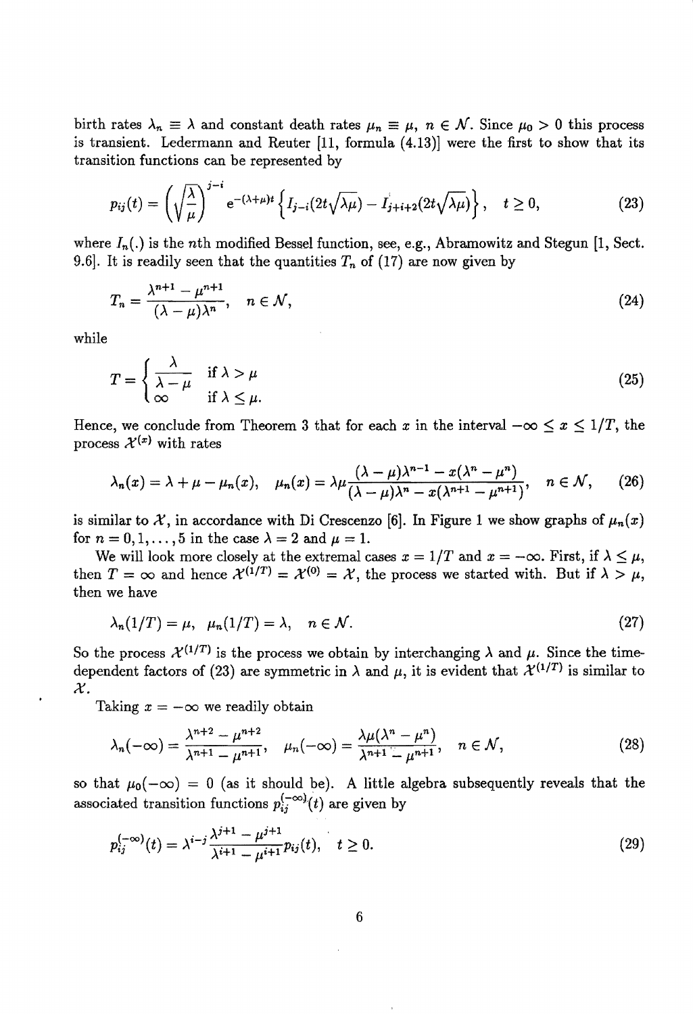birth rates  $\lambda_n \equiv \lambda$  and constant death rates  $\mu_n \equiv \mu$ ,  $n \in \mathcal{N}$ . Since  $\mu_0 > 0$  this process is transient. Ledermann and Reuter [11, formula (4.13)] were the first to show that its transition functions can be represented by

$$
p_{ij}(t) = \left(\sqrt{\frac{\lambda}{\mu}}\right)^{j-i} e^{-(\lambda+\mu)t} \left\{ I_{j-i}(2t\sqrt{\lambda\mu}) - I_{j+i+2}(2t\sqrt{\lambda\mu}) \right\}, \quad t \ge 0,
$$
 (23)

where  $I_n(.)$  is the nth modified Bessel function, see, e.g., Abramowitz and Stegun [1, Sect. 9.6]. It is readily seen that the quantities  $T_n$  of (17) are now given by

$$
T_n = \frac{\lambda^{n+1} - \mu^{n+1}}{(\lambda - \mu)\lambda^n}, \quad n \in \mathcal{N},
$$
\n(24)

while

$$
T = \begin{cases} \frac{\lambda}{\lambda - \mu} & \text{if } \lambda > \mu \\ \infty & \text{if } \lambda \le \mu. \end{cases}
$$
 (25)

Hence, we conclude from Theorem 3 that for each x in the interval  $-\infty \leq x \leq 1/T$ , the process  $\mathcal{X}^{(x)}$  with rates

$$
\lambda_n(x) = \lambda + \mu - \mu_n(x), \quad \mu_n(x) = \lambda \mu \frac{(\lambda - \mu)\lambda^{n-1} - x(\lambda^n - \mu^n)}{(\lambda - \mu)\lambda^n - x(\lambda^{n+1} - \mu^{n+1})}, \quad n \in \mathcal{N}, \qquad (26)
$$

is similar to  $\mathcal{X}$ , in accordance with Di Crescenzo [6]. In Figure 1 we show graphs of  $\mu_n(x)$ for  $n = 0, 1, \ldots, 5$  in the case  $\lambda = 2$  and  $\mu = 1$ .

We will look more closely at the extremal cases  $x = 1/T$  and  $x = -\infty$ . First, if  $\lambda \leq \mu$ , then  $T = \infty$  and hence  $\mathcal{X}^{(1/T)} = \mathcal{X}^{(0)} = \mathcal{X}$ , the process we started with. But if  $\lambda > \mu$ , then we have

$$
\lambda_n(1/T) = \mu, \quad \mu_n(1/T) = \lambda, \quad n \in \mathcal{N}.
$$
 (27)

So the process  $\mathcal{X}^{(1/T)}$  is the process we obtain by interchanging  $\lambda$  and  $\mu$ . Since the timedependent factors of (23) are symmetric in  $\lambda$  and  $\mu$ , it is evident that  $\mathcal{X}^{(1/T)}$  is similar to *X.* 

Taking  $x = -\infty$  we readily obtain

$$
\lambda_n(-\infty) = \frac{\lambda^{n+2} - \mu^{n+2}}{\lambda^{n+1} - \mu^{n+1}}, \quad \mu_n(-\infty) = \frac{\lambda \mu(\lambda^n - \mu^n)}{\lambda^{n+1} - \mu^{n+1}}, \quad n \in \mathcal{N},
$$
\n(28)

so that  $\mu_0(-\infty) = 0$  (as it should be). A little algebra subsequently reveals that the associated transition functions  $p_{ij}^{(-\infty)}(t)$  are given by

$$
p_{ij}^{(-\infty)}(t) = \lambda^{i-j} \frac{\lambda^{j+1} - \mu^{j+1}}{\lambda^{i+1} - \mu^{i+1}} p_{ij}(t), \quad t \ge 0.
$$
 (29)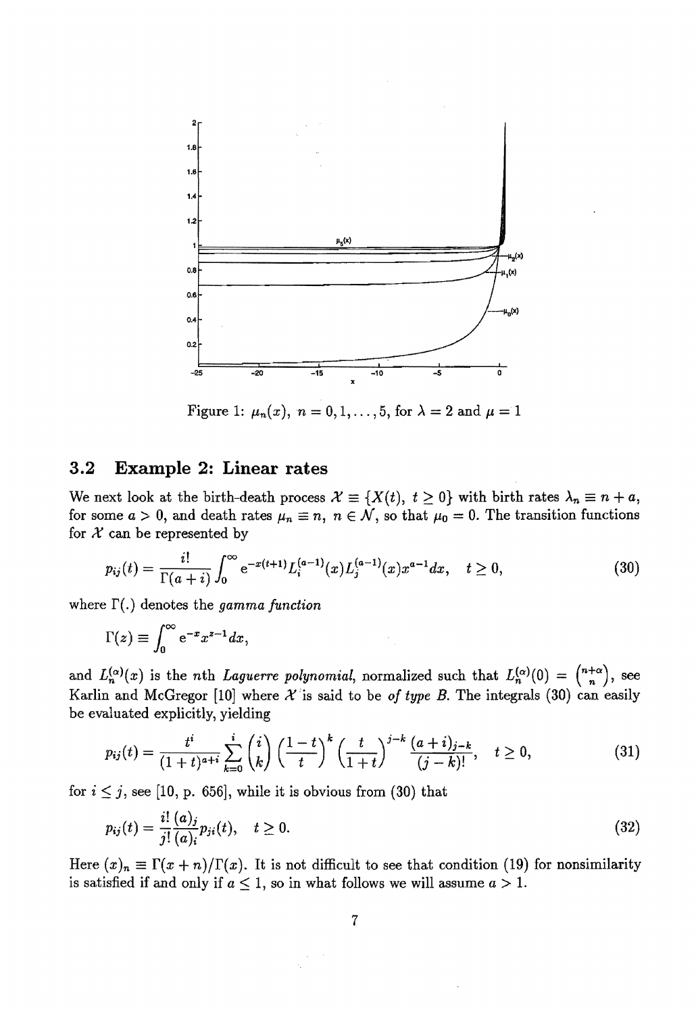

Figure 1:  $\mu_n(x)$ ,  $n = 0, 1, \ldots, 5$ , for  $\lambda = 2$  and  $\mu = 1$ 

#### **3.2 Example 2: Linear rates**

We next look at the birth-death process  $\mathcal{X} \equiv \{X(t), t \geq 0\}$  with birth rates  $\lambda_n \equiv n + a$ , for some  $a > 0$ , and death rates  $\mu_n \equiv n, n \in \mathcal{N}$ , so that  $\mu_0 = 0$ . The transition functions for  $X$  can be represented by

$$
p_{ij}(t) = \frac{i!}{\Gamma(a+i)} \int_0^\infty e^{-x(t+1)} L_i^{(a-1)}(x) L_j^{(a-1)}(x) x^{a-1} dx, \quad t \ge 0,
$$
\n(30)

where  $\Gamma(.)$  denotes the *gamma function* 

$$
\Gamma(z) \equiv \int_0^\infty e^{-x} x^{z-1} dx,
$$

and  $L_n^{(\alpha)}(x)$  is the *n*th *Laguerre polynomial*, normalized such that  $L_n^{(\alpha)}(0) = {n+\alpha \choose n}$ , see Karlin and McGregor [10] where  $\mathcal{X}$  is said to be *of type B*. The integrals (30) can easily be evaluated explicitly, yielding

$$
p_{ij}(t) = \frac{t^i}{(1+t)^{a+i}} \sum_{k=0}^i \binom{i}{k} \left(\frac{1-t}{t}\right)^k \left(\frac{t}{1+t}\right)^{j-k} \frac{(a+i)_{j-k}}{(j-k)!}, \quad t \ge 0,
$$
\n(31)

for  $i \leq j$ , see [10, p. 656], while it is obvious from (30) that

$$
p_{ij}(t) = \frac{i!}{j!} \frac{(a)_j}{(a)_i} p_{ji}(t), \quad t \ge 0.
$$
\n(32)

Here  $(x)_n \equiv \Gamma(x+n)/\Gamma(x)$ . It is not difficult to see that condition (19) for nonsimilarity is satisfied if and only if  $a \leq 1$ , so in what follows we will assume  $a > 1$ .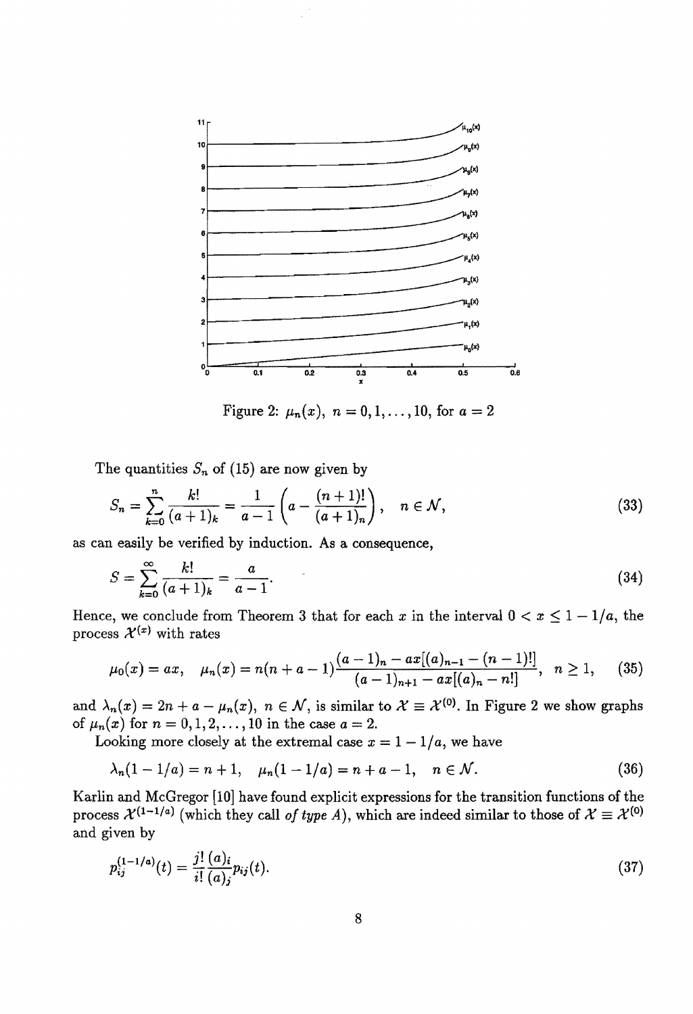

Figure 2:  $\mu_n(x)$ ,  $n = 0, 1, \ldots, 10$ , for  $a = 2$ 

The quantities  $S_n$  of (15) are now given by

$$
S_n = \sum_{k=0}^n \frac{k!}{(a+1)_k} = \frac{1}{a-1} \left( a - \frac{(n+1)!}{(a+1)_n} \right), \quad n \in \mathcal{N},
$$
\n(33)

as can easily be verified by induction. As a consequence,

$$
S = \sum_{k=0}^{\infty} \frac{k!}{(a+1)_k} = \frac{a}{a-1}.
$$
 (34)

process  $\mathcal{X}^{(x)}$  with rates

Hence, we conclude from Theorem 3 that for each x in the interval 
$$
0 < x \leq 1 - 1/a
$$
, the process  $\mathcal{X}^{(x)}$  with rates\n
$$
\mu_0(x) = ax, \quad \mu_n(x) = n(n+a-1) \frac{(a-1)_n - ax[(a)_{n-1} - (n-1)!]}{(a-1)_{n+1} - ax[(a)_n - n!]}, \quad n \geq 1,
$$
\n(35)

and  $\lambda_n(x) = 2n + a - \mu_n(x)$ ,  $n \in \mathcal{N}$ , is similar to  $\mathcal{X} \equiv \mathcal{X}^{(0)}$ . In Figure 2 we show graphs of  $\mu_n(x)$  for  $n = 0, 1, 2, ..., 10$  in the case  $a = 2$ .

Looking more closely at the extremal case  $x = 1 - 1/a$ , we have

$$
\lambda_n(1-1/a) = n+1, \quad \mu_n(1-1/a) = n+a-1, \quad n \in \mathcal{N}.
$$
 (36)

Karlin and McGregor [10] have found explicit expressions for the transition functions of the process  $\mathcal{X}^{(1-1/a)}$  (which they call *of type A*), which are indeed similar to those of  $\mathcal{X} \equiv \mathcal{X}^{(0)}$ and given by

$$
p_{ij}^{(1-1/a)}(t) = \frac{j!}{i!} \frac{(a)_i}{(a)_j} p_{ij}(t).
$$
\n(37)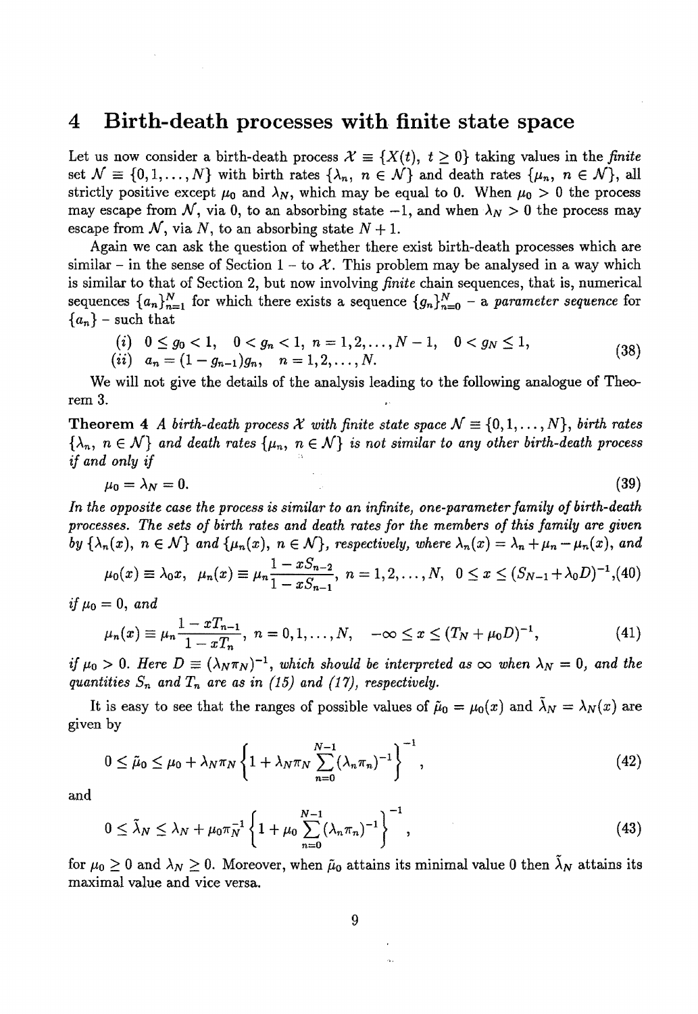#### **4 Birth-death processes with finite state space**

Let us now consider a birth-death process  $\mathcal{X} \equiv \{X(t), t \geq 0\}$  taking values in the *finite* set  $\mathcal{N} \equiv \{0, 1, \ldots, N\}$  with birth rates  $\{\lambda_n, n \in \mathcal{N}\}\$  and death rates  $\{\mu_n, n \in \mathcal{N}\}\$ , all strictly positive except  $\mu_0$  and  $\lambda_N$ , which may be equal to 0. When  $\mu_0 > 0$  the process may escape from  $N$ , via 0, to an absorbing state  $-1$ , and when  $\lambda_N > 0$  the process may escape from  $\mathcal N$ , via  $N$ , to an absorbing state  $N+1$ .

Again we can ask the question of whether there exist birth-death processes which are similar – in the sense of Section  $1 - \text{to } \mathcal{X}$ . This problem may be analysed in a way which is similar to that of Section 2, but now involving *finite* chain sequences, that is, numerical sequences  ${a_n}_{n=1}^N$  for which there exists a sequence  ${g_n}_{n=0}^N$  - a *parameter sequence* for  ${a_n}$  – such that

$$
\begin{array}{ll}\n(i) & 0 \leq g_0 < 1, \quad 0 < g_n < 1, \ n = 1, 2, \dots, N - 1, \quad 0 < g_N \leq 1, \\
(ii) & a_n = (1 - g_{n-1})g_n, \quad n = 1, 2, \dots, N.\n\end{array}\n\tag{38}
$$

We will not give the details of the analysis leading to the following analogue of Theorem 3.

Theorem 4 *A* birth-death process X with finite state space  $N \equiv \{0, 1, ..., N\}$ , birth rates  $\{\lambda_n, n \in \mathcal{N}\}\$  and death rates  $\{\mu_n, n \in \mathcal{N}\}\$  *is not similar to any other birth-death process if and only if* 

$$
\mu_0 = \lambda_N = 0. \tag{39}
$$

*In the opposite case the process is similar to an infinite, one-parameter family of birth-death processes. The sets of birth rates and death rates for the members of this family are 9iven by*  $\{\lambda_n(x), n \in \mathcal{N}\}\$  *and*  $\{\mu_n(x), n \in \mathcal{N}\}\$ , *respectively, where*  $\lambda_n(x) = \lambda_n + \mu_n - \mu_n(x)$ , and

$$
\mu_0(x) \equiv \lambda_0 x, \quad \mu_n(x) \equiv \mu_n \frac{1 - x S_{n-2}}{1 - x S_{n-1}}, \quad n = 1, 2, ..., N, \quad 0 \le x \le (S_{N-1} + \lambda_0 D)^{-1}, (40)
$$
\n
$$
= 0, \text{ and}
$$
\n
$$
\mu_n(x) \equiv \mu_n \frac{1 - x T_{n-1}}{1 - x T_n}, \quad n = 0, 1, ..., N, \quad -\infty \le x \le (T_N + \mu_0 D)^{-1}, \tag{41}
$$

*if*  $\mu_0 = 0$ , *and* 

$$
\mu_n(x) \equiv \mu_n \frac{1 - xT_{n-1}}{1 - xT_n}, \quad n = 0, 1, \dots, N, \quad -\infty \le x \le (T_N + \mu_0 D)^{-1}, \tag{41}
$$

*if*  $\mu_0 > 0$ . Here  $D \equiv (\lambda_N \pi_N)^{-1}$ , which should be interpreted as  $\infty$  when  $\lambda_N = 0$ , and the *quantities*  $S_n$  and  $T_n$  are as in (15) and (17), respectively.

It is easy to see that the ranges of possible values of  $\tilde{\mu}_0 = \mu_0(x)$  and  $\lambda_N = \lambda_N(x)$  are given by

$$
0 \leq \tilde{\mu}_0 \leq \mu_0 + \lambda_N \pi_N \left\{ 1 + \lambda_N \pi_N \sum_{n=0}^{N-1} (\lambda_n \pi_n)^{-1} \right\}^{-1}, \tag{42}
$$

and

$$
0 \le \tilde{\lambda}_N \le \lambda_N + \mu_0 \pi_N^{-1} \left\{ 1 + \mu_0 \sum_{n=0}^{N-1} (\lambda_n \pi_n)^{-1} \right\}^{-1}, \tag{43}
$$

for  $\mu_0 \geq 0$  and  $\lambda_N \geq 0$ . Moreover, when  $\tilde{\mu}_0$  attains its minimal value 0 then  $\lambda_N$  attains its maximal value and vice versa.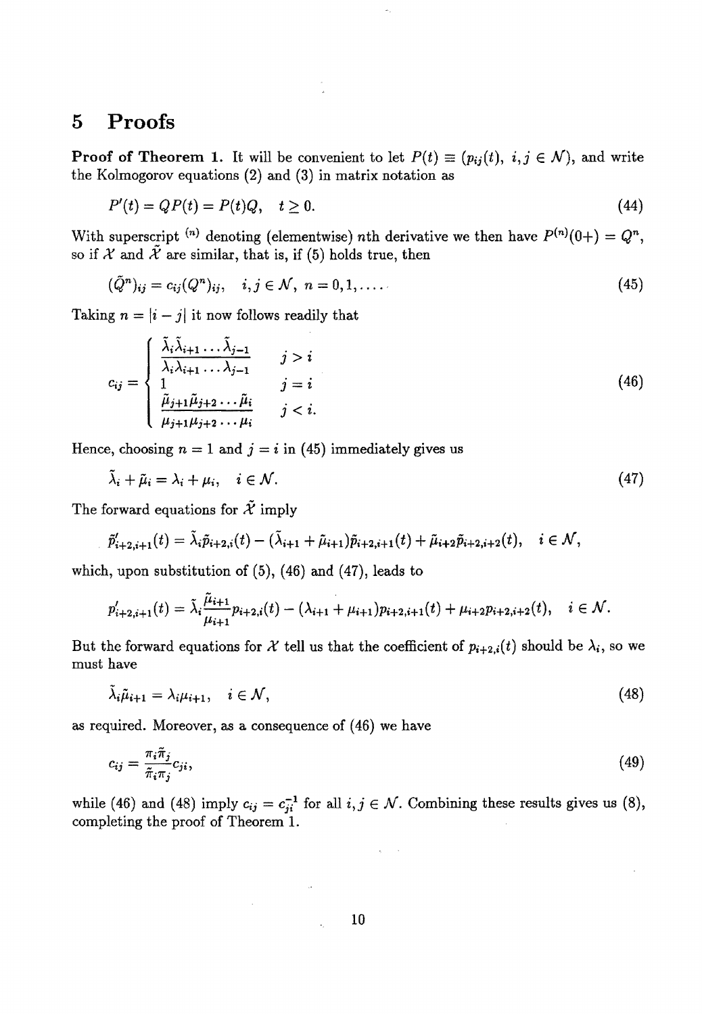## **5 Proofs**

**Proof of Theorem 1.** It will be convenient to let  $P(t) \equiv (p_{ij}(t), i, j \in \mathcal{N})$ , and write the Kolmogorov equations (2) and (3) in matrix notation as

$$
P'(t) = QP(t) = P(t)Q, \quad t \ge 0. \tag{44}
$$

With superscript <sup>(*n*)</sup> denoting (elementwise) nth derivative we then have  $P^{(n)}(0+) = Q^n$ , so if  $X$  and  $\tilde{X}$  are similar, that is, if (5) holds true, then

$$
(\tilde{Q}^n)_{ij} = c_{ij}(Q^n)_{ij}, \quad i, j \in \mathcal{N}, \ n = 0, 1, \dots
$$
\n(45)

Taking  $n = |i - j|$  it now follows readily that

$$
c_{ij} = \begin{cases} \frac{\tilde{\lambda}_i \tilde{\lambda}_{i+1} \dots \tilde{\lambda}_{j-1}}{\lambda_i \lambda_{i+1} \dots \lambda_{j-1}} & j > i \\ 1 & j = i \\ \frac{\tilde{\mu}_{j+1} \tilde{\mu}_{j+2} \dots \tilde{\mu}_i}{\mu_{j+1} \mu_{j+2} \dots \mu_i} & j < i. \end{cases} \tag{46}
$$

Hence, choosing  $n = 1$  and  $j = i$  in (45) immediately gives us

$$
\tilde{\lambda}_i + \tilde{\mu}_i = \lambda_i + \mu_i, \quad i \in \mathcal{N}.
$$
\n
$$
(47)
$$

The forward equations for  $\tilde{\mathcal{X}}$  imply

$$
\tilde{p}'_{i+2,i+1}(t) = \tilde{\lambda}_i \tilde{p}_{i+2,i}(t) - (\tilde{\lambda}_{i+1} + \tilde{\mu}_{i+1}) \tilde{p}_{i+2,i+1}(t) + \tilde{\mu}_{i+2} \tilde{p}_{i+2,i+2}(t), \quad i \in \mathcal{N},
$$

which, upon substitution of  $(5)$ ,  $(46)$  and  $(47)$ , leads to

$$
p'_{i+2,i+1}(t) = \tilde{\lambda}_i \frac{\tilde{\mu}_{i+1}}{\mu_{i+1}} p_{i+2,i}(t) - (\lambda_{i+1} + \mu_{i+1}) p_{i+2,i+1}(t) + \mu_{i+2} p_{i+2,i+2}(t), \quad i \in \mathcal{N}.
$$

But the forward equations for X tell us that the coefficient of  $p_{i+2,i}(t)$  should be  $\lambda_i$ , so we must have

$$
\tilde{\lambda}_i \tilde{\mu}_{i+1} = \lambda_i \mu_{i+1}, \quad i \in \mathcal{N}, \tag{48}
$$

as required. Moreover, as a consequence of (46) we have

 $\sim$ 

$$
c_{ij} = \frac{\pi_i \tilde{\pi}_j}{\tilde{\pi}_i \pi_j} c_{ji},\tag{49}
$$

while (46) and (48) imply  $c_{ij} = c_{ji}^{-1}$  for all  $i, j \in \mathcal{N}$ . Combining these results gives us (8), completing the proof of Theorem 1.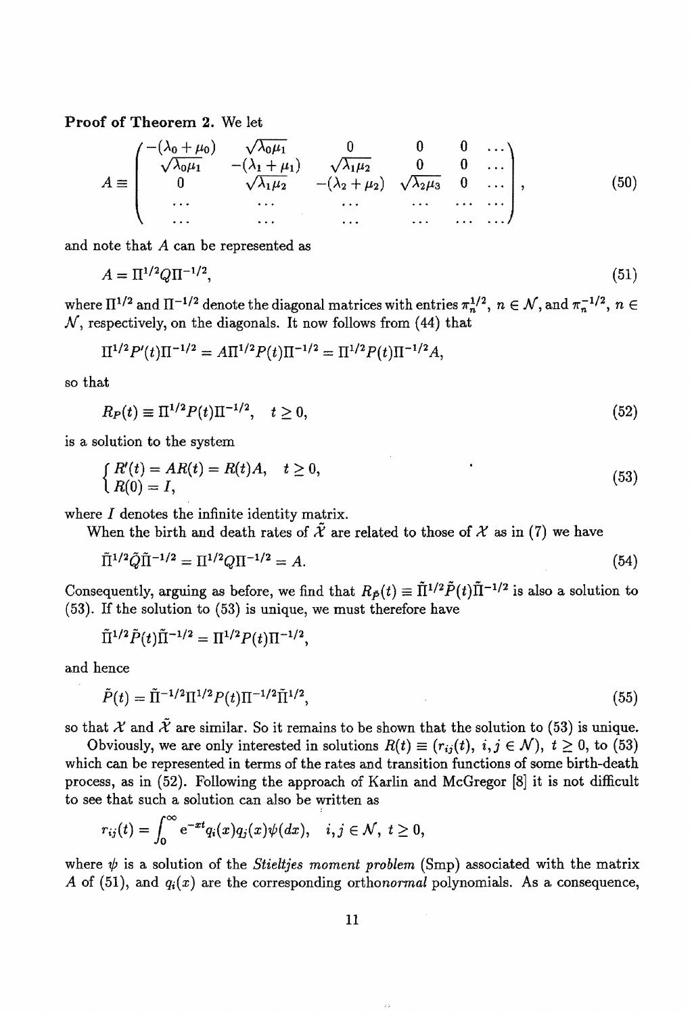**Proof of Theorem 2.** We let

$$
A \equiv \begin{pmatrix} -(\lambda_0 + \mu_0) & \sqrt{\lambda_0 \mu_1} & 0 & 0 & 0 & \dots \\ \sqrt{\lambda_0 \mu_1} & -(\lambda_1 + \mu_1) & \sqrt{\lambda_1 \mu_2} & 0 & 0 & \dots \\ 0 & \sqrt{\lambda_1 \mu_2} & -(\lambda_2 + \mu_2) & \sqrt{\lambda_2 \mu_3} & 0 & \dots \\ \dots & \dots & \dots & \dots & \dots & \dots \\ \dots & \dots & \dots & \dots & \dots & \dots \end{pmatrix}, \quad (50)
$$

and note that A can be represented as

$$
A = \Pi^{1/2} Q \Pi^{-1/2},\tag{51}
$$

where  $\Pi^{1/2}$  and  $\Pi^{-1/2}$  denote the diagonal matrices with entries  $\pi_n^{1/2}$ ,  $n \in \mathcal{N}$ , and  $\pi_n^{-1/2}$ ,  $n \in \mathcal{N}$  $N$ , respectively, on the diagonals. It now follows from (44) that

$$
\Pi^{1/2} P'(t) \Pi^{-1/2} = A \Pi^{1/2} P(t) \Pi^{-1/2} = \Pi^{1/2} P(t) \Pi^{-1/2} A,
$$

so that

 $R_P(t) \equiv \Pi^{1/2} P(t) \Pi^{-1/2}, \quad t \ge 0,$ (52)

is a solution to the system

$$
\begin{cases}\nR'(t) = AR(t) = R(t)A, & t \ge 0, \\
R(0) = I,\n\end{cases}
$$
\n(53)

where I denotes the infinite identity matrix.

When the birth and death rates of  $\mathcal X$  are related to those of  $\mathcal X$  as in (7) we have

$$
\tilde{\Pi}^{1/2} \tilde{Q} \tilde{\Pi}^{-1/2} = \Pi^{1/2} Q \Pi^{-1/2} = A.
$$
\n(54)

Consequently, arguing as before, we find that  $R_{\tilde{P}}(t) \equiv \tilde{\Pi}^{1/2} \tilde{P}(t) \tilde{\Pi}^{-1/2}$  is also a solution to (53). If the solution to (53) is unique, we must therefore have

$$
\tilde{\Pi}^{1/2} \tilde{P}(t) \tilde{\Pi}^{-1/2} = \Pi^{1/2} P(t) \Pi^{-1/2},
$$

and hence

$$
\tilde{P}(t) = \tilde{\Pi}^{-1/2} \Pi^{1/2} P(t) \Pi^{-1/2} \tilde{\Pi}^{1/2},\tag{55}
$$

so that *X* and  $\tilde{\mathcal{X}}$  are similar. So it remains to be shown that the solution to (53) is unique.

Obviously, we are only interested in solutions  $R(t) \equiv (r_{ij}(t), i, j \in \mathcal{N})$ ,  $t \geq 0$ , to (53) which can be represented in terms of the rates and transition functions of some birth-death process, as in (52). Following the approach of Karlin and McGregor [8] it is not difficult to see that such a solution can also be written as

$$
r_{ij}(t)=\int_0^\infty {\rm e}^{-xt}q_i(x)q_j(x)\psi(dx),\quad i,j\in\mathcal N,\,\,t\geq 0,
$$

where  $\psi$  is a solution of the *Stieltjes moment problem* (Smp) associated with the matrix *A* of (51), and  $q_i(x)$  are the corresponding orthonormal polynomials. As a consequence,

 $\pm$